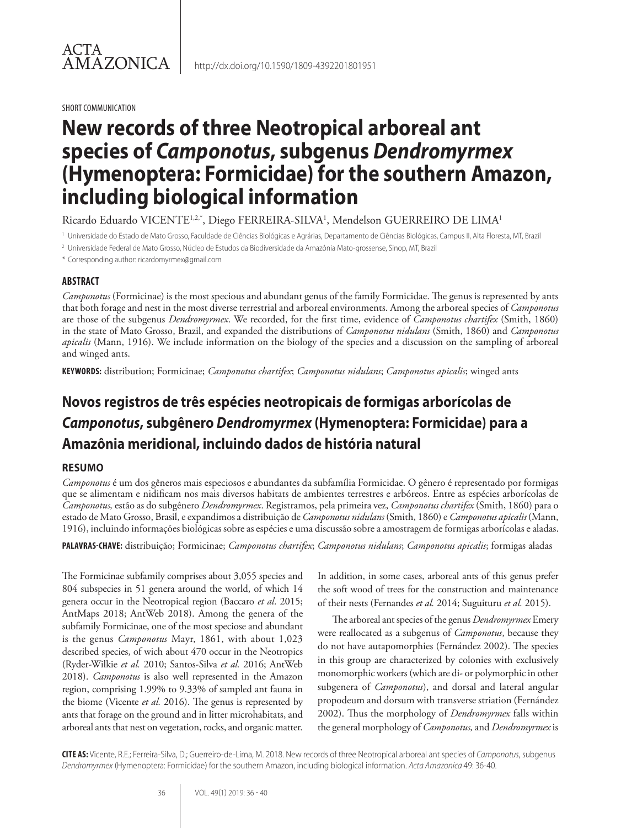SHORT COMMUNICATION

# **New records of three Neotropical arboreal ant species of** *Camponotus***, subgenus** *Dendromyrmex*  **(Hymenoptera: Formicidae) for the southern Amazon, including biological information**

Ricardo Eduardo VICENTE1.2.\*, Diego FERREIRA-SILVA<sup>1</sup>, Mendelson GUERREIRO DE LIMA<sup>1</sup>

http://dx.doi.org/10.1590/1809-4392201801951

<sup>1</sup> Universidade do Estado de Mato Grosso, Faculdade de Ciências Biológicas e Agrárias, Departamento de Ciências Biológicas, Campus II, Alta Floresta, MT, Brazil

- <sup>2</sup> Universidade Federal de Mato Grosso, Núcleo de Estudos da Biodiversidade da Amazônia Mato-grossense, Sinop, MT, Brazil
- \* Corresponding author: ricardomyrmex@gmail.com

#### **ABSTRACT**

*Camponotus* (Formicinae) is the most specious and abundant genus of the family Formicidae. The genus is represented by ants that both forage and nest in the most diverse terrestrial and arboreal environments. Among the arboreal species of *Camponotus*  are those of the subgenus *Dendromyrmex*. We recorded, for the first time, evidence of *Camponotus chartifex* (Smith, 1860) in the state of Mato Grosso, Brazil, and expanded the distributions of *Camponotus nidulans* (Smith, 1860) and *Camponotus apicalis* (Mann, 1916). We include information on the biology of the species and a discussion on the sampling of arboreal and winged ants.

**KEYWORDS:** distribution; Formicinae; *Camponotus chartifex*; *Camponotus nidulans*; *Camponotus apicalis*; winged ants

## **Novos registros de três espécies neotropicais de formigas arborícolas de**  *Camponotus***, subgênero** *Dendromyrmex* **(Hymenoptera: Formicidae) para a Amazônia meridional, incluindo dados de história natural**

#### **RESUMO**

*Camponotus* é um dos gêneros mais especiosos e abundantes da subfamília Formicidae. O gênero é representado por formigas que se alimentam e nidificam nos mais diversos habitats de ambientes terrestres e arbóreos. Entre as espécies arborícolas de *Camponotus,* estão as do subgênero *Dendromyrmex*. Registramos, pela primeira vez, *Camponotus chartifex* (Smith, 1860) para o estado de Mato Grosso, Brasil, e expandimos a distribuição de *Camponotus nidulans* (Smith, 1860) e *Camponotus apicalis* (Mann, 1916), incluindo informações biológicas sobre as espécies e uma discussão sobre a amostragem de formigas arborícolas e aladas.

**PALAVRAS-CHAVE:** distribuição; Formicinae; *Camponotus chartifex*; *Camponotus nidulans*; *Camponotus apicalis*; formigas aladas

The Formicinae subfamily comprises about 3,055 species and 804 subspecies in 51 genera around the world, of which 14 genera occur in the Neotropical region (Baccaro *et al*. 2015; AntMaps 2018; AntWeb 2018). Among the genera of the subfamily Formicinae, one of the most speciose and abundant is the genus *Camponotus* Mayr, 1861, with about 1,023 described species, of wich about 470 occur in the Neotropics (Ryder-Wilkie *et al.* 2010; Santos-Silva *et al.* 2016; AntWeb 2018). *Camponotus* is also well represented in the Amazon region, comprising 1.99% to 9.33% of sampled ant fauna in the biome (Vicente *et al.* 2016). The genus is represented by ants that forage on the ground and in litter microhabitats, and arboreal ants that nest on vegetation, rocks, and organic matter.

In addition, in some cases, arboreal ants of this genus prefer the soft wood of trees for the construction and maintenance of their nests (Fernandes *et al.* 2014; Suguituru *et al.* 2015).

The arboreal ant species of the genus *Dendromyrmex* Emery were reallocated as a subgenus of *Camponotus*, because they do not have autapomorphies (Fernández 2002). The species in this group are characterized by colonies with exclusively monomorphic workers (which are di- or polymorphic in other subgenera of *Camponotus*), and dorsal and lateral angular propodeum and dorsum with transverse striation (Fernández 2002). Thus the morphology of *Dendromyrmex* falls within the general morphology of *Camponotus,* and *Dendromyrmex* is

**CITE AS:** Vicente, R.E.; Ferreira-Silva, D.; Guerreiro-de-Lima, M. 2018. New records of three Neotropical arboreal ant species of *Camponotus*, subgenus *Dendromyrmex* (Hymenoptera: Formicidae) for the southern Amazon, including biological information. *Acta Amazonica* 49: 36-40.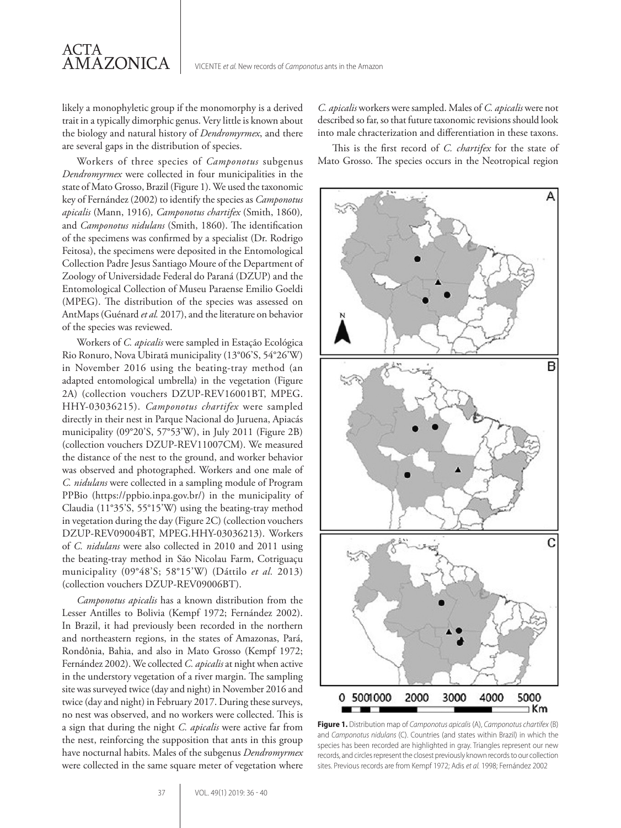likely a monophyletic group if the monomorphy is a derived trait in a typically dimorphic genus. Very little is known about the biology and natural history of *Dendromyrmex*, and there are several gaps in the distribution of species.

ACTA

**AMAZONICA** 

Workers of three species of *Camponotus* subgenus *Dendromyrmex* were collected in four municipalities in the state of Mato Grosso, Brazil (Figure 1). We used the taxonomic key of Fernández (2002) to identify the species as *Camponotus apicalis* (Mann, 1916)*, Camponotus chartifex* (Smith, 1860)*,*  and *Camponotus nidulans* (Smith, 1860). The identification of the specimens was confirmed by a specialist (Dr. Rodrigo Feitosa), the specimens were deposited in the Entomological Collection Padre Jesus Santiago Moure of the Department of Zoology of Universidade Federal do Paraná (DZUP) and the Entomological Collection of Museu Paraense Emilio Goeldi (MPEG). The distribution of the species was assessed on AntMaps (Guénard *et al.* 2017), and the literature on behavior of the species was reviewed.

Workers of *C. apicalis* were sampled in Estação Ecológica Rio Ronuro, Nova Ubiratã municipality (13°06'S, 54°26'W) in November 2016 using the beating-tray method (an adapted entomological umbrella) in the vegetation (Figure 2A) (collection vouchers DZUP-REV16001BT, MPEG. HHY-03036215). *Camponotus chartifex* were sampled directly in their nest in Parque Nacional do Juruena, Apiacás municipality (09°20'S, 57°53'W), in July 2011 (Figure 2B) (collection vouchers DZUP-REV11007CM). We measured the distance of the nest to the ground, and worker behavior was observed and photographed. Workers and one male of *C. nidulans* were collected in a sampling module of Program PPBio (https://ppbio.inpa.gov.br/) in the municipality of Claudia (11°35'S, 55°15'W) using the beating-tray method in vegetation during the day (Figure 2C) (collection vouchers DZUP-REV09004BT, MPEG.HHY-03036213). Workers of *C. nidulans* were also collected in 2010 and 2011 using the beating-tray method in São Nicolau Farm, Cotriguaçu municipality (09°48'S; 58°15'W) (Dáttilo *et al.* 2013) (collection vouchers DZUP-REV09006BT).

*Camponotus apicalis* has a known distribution from the Lesser Antilles to Bolivia (Kempf 1972; Fernández 2002). In Brazil, it had previously been recorded in the northern and northeastern regions, in the states of Amazonas, Pará, Rondônia, Bahia, and also in Mato Grosso (Kempf 1972; Fernández 2002). We collected *C. apicalis* at night when active in the understory vegetation of a river margin. The sampling site was surveyed twice (day and night) in November 2016 and twice (day and night) in February 2017. During these surveys, no nest was observed, and no workers were collected. This is a sign that during the night *C. apicalis* were active far from the nest, reinforcing the supposition that ants in this group have nocturnal habits. Males of the subgenus *Dendromyrmex* were collected in the same square meter of vegetation where *C. apicalis* workers were sampled. Males of *C. apicalis* were not described so far, so that future taxonomic revisions should look into male chracterization and differentiation in these taxons.

This is the first record of *C. chartifex* for the state of Mato Grosso. The species occurs in the Neotropical region



**Figure 1.** Distribution map of *Camponotus apicalis* (A), *Camponotus chartifex* (B) and *Camponotus nidulans* (C). Countries (and states within Brazil) in which the species has been recorded are highlighted in gray. Triangles represent our new records, and circles represent the closest previously known records to our collection sites. Previous records are from Kempf 1972; Adis *et al.* 1998; Fernández 2002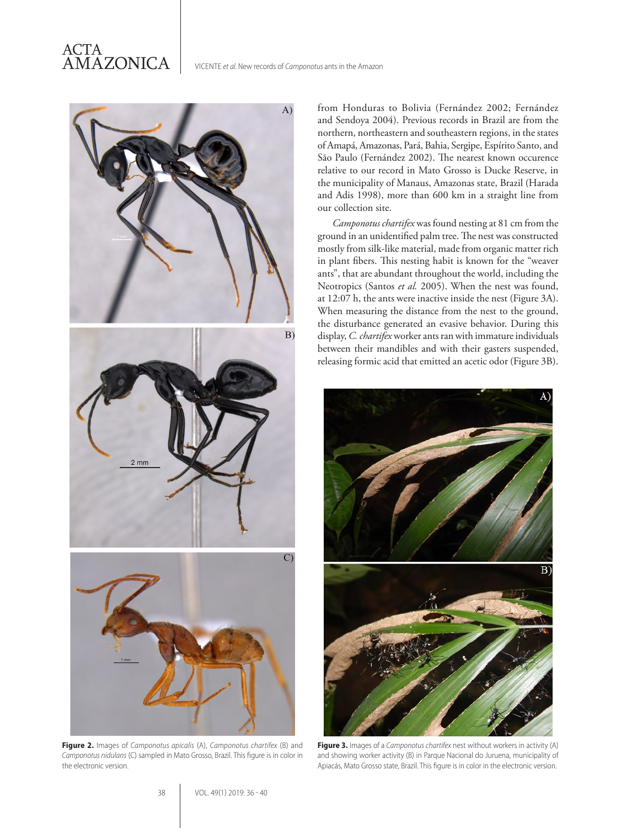

**Figure 2.** Images of *Camponotus apicalis* (A), *Camponotus chartifex* (B) and *Camponotus nidulans* (C) sampled in Mato Grosso, Brazil. This figure is in color in the electronic version.

from Honduras to Bolivia (Fernández 2002; Fernández and Sendoya 2004). Previous records in Brazil are from the northern, northeastern and southeastern regions, in the states of Amapá, Amazonas, Pará, Bahia, Sergipe, Espírito Santo, and São Paulo (Fernández 2002). The nearest known occurence relative to our record in Mato Grosso is Ducke Reserve, in the municipality of Manaus, Amazonas state, Brazil (Harada and Adis 1998), more than 600 km in a straight line from our collection site.

*Camponotus chartifex* was found nesting at 81 cm from the ground in an unidentified palm tree. The nest was constructed mostly from silk-like material, made from organic matter rich in plant fibers. This nesting habit is known for the "weaver ants", that are abundant throughout the world, including the Neotropics (Santos *et al.* 2005). When the nest was found, at 12:07 h, the ants were inactive inside the nest (Figure 3A). When measuring the distance from the nest to the ground, the disturbance generated an evasive behavior. During this display, *C. chartifex* worker ants ran with immature individuals between their mandibles and with their gasters suspended, releasing formic acid that emitted an acetic odor (Figure 3B).



**Figure 3.** Images of a *Camponotus chartifex* nest without workers in activity (A) and showing worker activity (B) in Parque Nacional do Juruena, municipality of Apiacás, Mato Grosso state, Brazil. This figure is in color in the electronic version.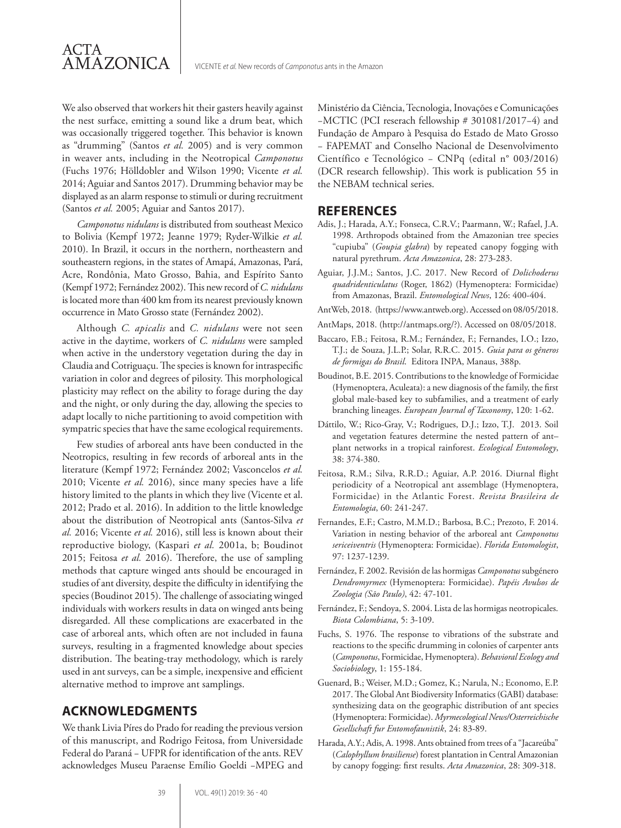We also observed that workers hit their gasters heavily against the nest surface, emitting a sound like a drum beat, which was occasionally triggered together. This behavior is known as "drumming" (Santos *et al.* 2005) and is very common in weaver ants, including in the Neotropical *Camponotus* (Fuchs 1976; Hölldobler and Wilson 1990; Vicente *et al.* 2014; Aguiar and Santos 2017). Drumming behavior may be displayed as an alarm response to stimuli or during recruitment (Santos *et al.* 2005; Aguiar and Santos 2017).

*Camponotus nidulans* is distributed from southeast Mexico to Bolivia (Kempf 1972; Jeanne 1979; Ryder-Wilkie *et al.* 2010). In Brazil, it occurs in the northern, northeastern and southeastern regions, in the states of Amapá, Amazonas, Pará, Acre, Rondônia, Mato Grosso, Bahia, and Espírito Santo (Kempf 1972; Fernández 2002). This new record of *C. nidulans*  is located more than 400 km from its nearest previously known occurrence in Mato Grosso state (Fernández 2002).

Although *C. apicalis* and *C. nidulans* were not seen active in the daytime, workers of *C. nidulans* were sampled when active in the understory vegetation during the day in Claudia and Cotriguaçu. The species is known for intraspecific variation in color and degrees of pilosity. This morphological plasticity may reflect on the ability to forage during the day and the night, or only during the day, allowing the species to adapt locally to niche partitioning to avoid competition with sympatric species that have the same ecological requirements.

Few studies of arboreal ants have been conducted in the Neotropics, resulting in few records of arboreal ants in the literature (Kempf 1972; Fernández 2002; Vasconcelos *et al.* 2010; Vicente *et al.* 2016), since many species have a life history limited to the plants in which they live (Vicente et al. 2012; Prado et al. 2016). In addition to the little knowledge about the distribution of Neotropical ants (Santos-Silva *et al.* 2016; Vicente *et al.* 2016), still less is known about their reproductive biology, (Kaspari *et al.* 2001a, b; Boudinot 2015; Feitosa *et al.* 2016). Therefore, the use of sampling methods that capture winged ants should be encouraged in studies of ant diversity, despite the difficulty in identifying the species (Boudinot 2015). The challenge of associating winged individuals with workers results in data on winged ants being disregarded. All these complications are exacerbated in the case of arboreal ants, which often are not included in fauna surveys, resulting in a fragmented knowledge about species distribution. The beating-tray methodology, which is rarely used in ant surveys, can be a simple, inexpensive and efficient alternative method to improve ant samplings.

### **ACKNOWLEDGMENTS**

We thank Livia Píres do Prado for reading the previous version of this manuscript, and Rodrigo Feitosa, from Universidade Federal do Paraná − UFPR for identification of the ants. REV acknowledges Museu Paraense Emílio Goeldi −MPEG and Ministério da Ciência, Tecnologia, Inovações e Comunicações −MCTIC (PCI reserach fellowship # 301081/2017−4) and Fundação de Amparo à Pesquisa do Estado de Mato Grosso − FAPEMAT and Conselho Nacional de Desenvolvimento Científico e Tecnológico − CNPq (edital n° 003/2016) (DCR research fellowship). This work is publication 55 in the NEBAM technical series.

#### **REFERENCES**

- Adis, J.; Harada, A.Y.; Fonseca, C.R.V.; Paarmann, W.; Rafael, J.A. 1998. Arthropods obtained from the Amazonian tree species "cupiuba" (*Goupia glabra*) by repeated canopy fogging with natural pyrethrum. *Acta Amazonica*, 28: 273-283.
- Aguiar, J.J.M.; Santos, J.C. 2017. New Record of *Dolichoderus quadridenticulatus* (Roger, 1862) (Hymenoptera: Formicidae) from Amazonas, Brazil. *Entomological News*, 126: 400-404.
- AntWeb, 2018. (https://www.antweb.org). Accessed on 08/05/2018.
- AntMaps, 2018. (http://antmaps.org/?). Accessed on 08/05/2018.
- Baccaro, F.B.; Feitosa, R.M.; Fernández, F.; Fernandes, I.O.; Izzo, T.J.; de Souza, J.L.P.; Solar, R.R.C. 2015. *Guia para os gêneros de formigas do Brasil*. Editora INPA, Manaus, 388p.
- Boudinot, B.E. 2015. Contributions to the knowledge of Formicidae (Hymenoptera, Aculeata): a new diagnosis of the family, the first global male-based key to subfamilies, and a treatment of early branching lineages. *European Journal of Taxonomy*, 120: 1-62.
- Dáttilo, W.; Rico-Gray, V.; Rodrigues, D.J.; Izzo, T.J. 2013. Soil and vegetation features determine the nested pattern of ant– plant networks in a tropical rainforest. *Ecological Entomology*, 38: 374-380.
- Feitosa, R.M.; Silva, R.R.D.; Aguiar, A.P. 2016. Diurnal flight periodicity of a Neotropical ant assemblage (Hymenoptera, Formicidae) in the Atlantic Forest. *Revista Brasileira de Entomologia*, 60: 241-247.
- Fernandes, E.F.; Castro, M.M.D.; Barbosa, B.C.; Prezoto, F. 2014. Variation in nesting behavior of the arboreal ant *Camponotus sericeiventris* (Hymenoptera: Formicidae). *Florida Entomologist*, 97: 1237-1239.
- Fernández, F. 2002. Revisión de las hormigas *Camponotus* subgénero *Dendromyrmex* (Hymenoptera: Formicidae). *Papéis Avulsos de Zoologia (São Paulo)*, 42: 47-101.
- Fernández, F.; Sendoya, S. 2004. Lista de las hormigas neotropicales. *Biota Colombiana*, 5: 3-109.
- Fuchs, S. 1976. The response to vibrations of the substrate and reactions to the specific drumming in colonies of carpenter ants (*Camponotus*, Formicidae, Hymenoptera). *Behavioral Ecology and Sociobiology*, 1: 155-184.
- Guenard, B.; Weiser, M.D.; Gomez, K.; Narula, N.; Economo, E.P. 2017. The Global Ant Biodiversity Informatics (GABI) database: synthesizing data on the geographic distribution of ant species (Hymenoptera: Formicidae). *Myrmecological News/Osterreichische Gesellschaft fur Entomofaunistik*, 24: 83-89.
- Harada, A.Y.; Adis, A. 1998. Ants obtained from trees of a "Jacareúba" (*Calophyllum brasiliense*) forest plantation in Central Amazonian by canopy fogging: first results. *Acta Amazonica*, 28: 309-318.